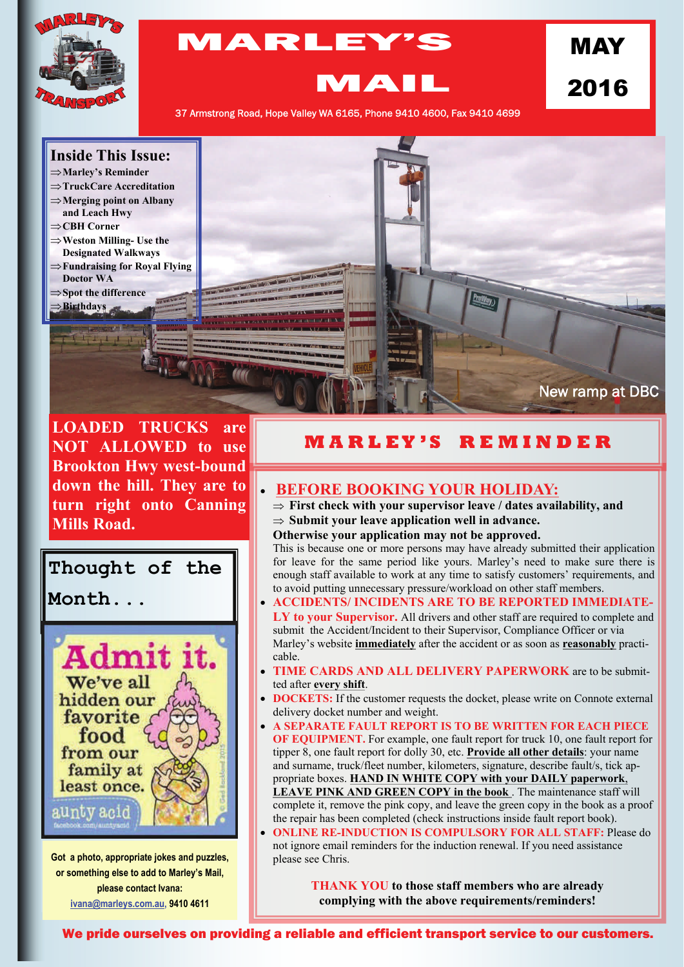

## MARLEY'S

2016

MAY

MAIL

37 Armstrong Road, Hope Valley WA 6165, Phone 9410 4600, Fax 9410 4699



**LOADED TRUCKS are NOT ALLOWED to use Brookton Hwy west-bound down the hill. They are to turn right onto Canning Mills Road.** 

# **Thought of the**

**Month...** 



**Got a photo, appropriate jokes and puzzles, or something else to add to Marley's Mail, please contact Ivana: [ivana@marleys.com.au,](mailto:ivana@marleys.com.au) 9410 4611**

### **M A R L E Y ' S R E M I N D E R**

#### **BEFORE BOOKING YOUR HOLIDAY:**

 **First check with your supervisor leave / dates availability, and**   $\Rightarrow$  Submit your leave application well in advance.

**Otherwise your application may not be approved.** 

This is because one or more persons may have already submitted their application for leave for the same period like yours. Marley's need to make sure there is enough staff available to work at any time to satisfy customers' requirements, and to avoid putting unnecessary pressure/workload on other staff members.

- **ACCIDENTS/ INCIDENTS ARE TO BE REPORTED IMMEDIATE-LY to your Supervisor.** All drivers and other staff are required to complete and submit the Accident/Incident to their Supervisor, Compliance Officer or via Marley's website **immediately** after the accident or as soon as **reasonably** practicable.
- **TIME CARDS AND ALL DELIVERY PAPERWORK** are to be submitted after **every shift**.
- **DOCKETS:** If the customer requests the docket, please write on Connote external delivery docket number and weight.
- **A SEPARATE FAULT REPORT IS TO BE WRITTEN FOR EACH PIECE OF EQUIPMENT.** For example, one fault report for truck 10, one fault report for tipper 8, one fault report for dolly 30, etc. **Provide all other details**: your name and surname, truck/fleet number, kilometers, signature, describe fault/s, tick appropriate boxes. **HAND IN WHITE COPY with your DAILY paperwork**, **LEAVE PINK AND GREEN COPY in the book** . The maintenance staff will complete it, remove the pink copy, and leave the green copy in the book as a proof the repair has been completed (check instructions inside fault report book).
- **ONLINE RE-INDUCTION IS COMPULSORY FOR ALL STAFF:** Please do not ignore email reminders for the induction renewal. If you need assistance please see Chris.

**THANK YOU to those staff members who are already complying with the above requirements/reminders!** 

We pride ourselves on providing a reliable and efficient transport service to our customers.